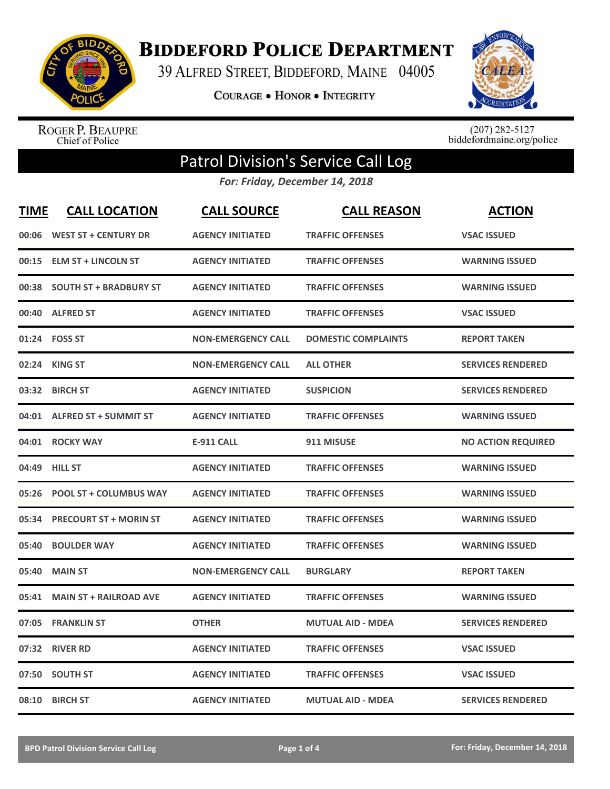

**BIDDEFORD POLICE DEPARTMENT** 

39 ALFRED STREET, BIDDEFORD, MAINE 04005

**COURAGE . HONOR . INTEGRITY** 



ROGER P. BEAUPRE<br>Chief of Police

 $(207)$  282-5127<br>biddefordmaine.org/police

## Patrol Division's Service Call Log

*For: Friday, December 14, 2018*

| <b>TIME</b> | <b>CALL LOCATION</b>          | <b>CALL SOURCE</b>        | <b>CALL REASON</b>         | <b>ACTION</b>             |
|-------------|-------------------------------|---------------------------|----------------------------|---------------------------|
|             | 00:06 WEST ST + CENTURY DR    | <b>AGENCY INITIATED</b>   | <b>TRAFFIC OFFENSES</b>    | <b>VSAC ISSUED</b>        |
| 00:15       | <b>ELM ST + LINCOLN ST</b>    | <b>AGENCY INITIATED</b>   | <b>TRAFFIC OFFENSES</b>    | <b>WARNING ISSUED</b>     |
| 00:38       | <b>SOUTH ST + BRADBURY ST</b> | <b>AGENCY INITIATED</b>   | <b>TRAFFIC OFFENSES</b>    | <b>WARNING ISSUED</b>     |
| 00:40       | <b>ALFRED ST</b>              | <b>AGENCY INITIATED</b>   | <b>TRAFFIC OFFENSES</b>    | <b>VSAC ISSUED</b>        |
|             | 01:24 FOSS ST                 | <b>NON-EMERGENCY CALL</b> | <b>DOMESTIC COMPLAINTS</b> | <b>REPORT TAKEN</b>       |
| 02:24       | <b>KING ST</b>                | <b>NON-EMERGENCY CALL</b> | <b>ALL OTHER</b>           | <b>SERVICES RENDERED</b>  |
| 03:32       | <b>BIRCH ST</b>               | <b>AGENCY INITIATED</b>   | <b>SUSPICION</b>           | <b>SERVICES RENDERED</b>  |
| 04:01       | <b>ALFRED ST + SUMMIT ST</b>  | <b>AGENCY INITIATED</b>   | <b>TRAFFIC OFFENSES</b>    | <b>WARNING ISSUED</b>     |
| 04:01       | <b>ROCKY WAY</b>              | <b>E-911 CALL</b>         | 911 MISUSE                 | <b>NO ACTION REQUIRED</b> |
| 04:49       | <b>HILL ST</b>                | <b>AGENCY INITIATED</b>   | <b>TRAFFIC OFFENSES</b>    | <b>WARNING ISSUED</b>     |
| 05:26       | <b>POOL ST + COLUMBUS WAY</b> | <b>AGENCY INITIATED</b>   | <b>TRAFFIC OFFENSES</b>    | <b>WARNING ISSUED</b>     |
| 05:34       | <b>PRECOURT ST + MORIN ST</b> | <b>AGENCY INITIATED</b>   | <b>TRAFFIC OFFENSES</b>    | <b>WARNING ISSUED</b>     |
| 05:40       | <b>BOULDER WAY</b>            | <b>AGENCY INITIATED</b>   | <b>TRAFFIC OFFENSES</b>    | <b>WARNING ISSUED</b>     |
| 05:40       | <b>MAIN ST</b>                | <b>NON-EMERGENCY CALL</b> | <b>BURGLARY</b>            | <b>REPORT TAKEN</b>       |
| 05:41       | <b>MAIN ST + RAILROAD AVE</b> | <b>AGENCY INITIATED</b>   | <b>TRAFFIC OFFENSES</b>    | <b>WARNING ISSUED</b>     |
| 07:05       | <b>FRANKLIN ST</b>            | <b>OTHER</b>              | <b>MUTUAL AID - MDEA</b>   | <b>SERVICES RENDERED</b>  |
| 07:32       | <b>RIVER RD</b>               | <b>AGENCY INITIATED</b>   | <b>TRAFFIC OFFENSES</b>    | <b>VSAC ISSUED</b>        |
| 07:50       | <b>SOUTH ST</b>               | <b>AGENCY INITIATED</b>   | <b>TRAFFIC OFFENSES</b>    | <b>VSAC ISSUED</b>        |
|             | 08:10 BIRCH ST                | <b>AGENCY INITIATED</b>   | <b>MUTUAL AID - MDEA</b>   | <b>SERVICES RENDERED</b>  |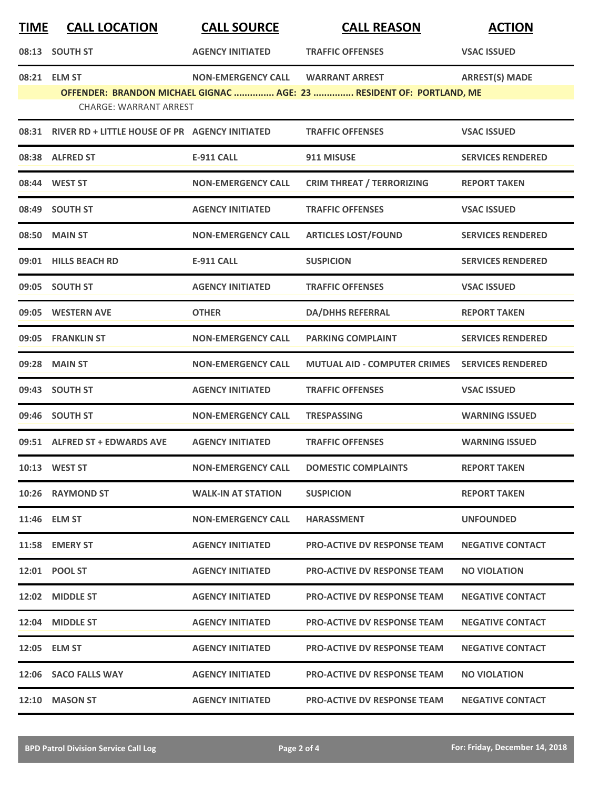| <u>TIME</u> | <b>CALL LOCATION</b>                                 | <b>CALL SOURCE</b>        | <b>CALL REASON</b>                                                                            | <b>ACTION</b>            |
|-------------|------------------------------------------------------|---------------------------|-----------------------------------------------------------------------------------------------|--------------------------|
|             | 08:13 SOUTH ST                                       | <b>AGENCY INITIATED</b>   | <b>TRAFFIC OFFENSES</b>                                                                       | <b>VSAC ISSUED</b>       |
|             | 08:21 ELM ST<br><b>CHARGE: WARRANT ARREST</b>        | <b>NON-EMERGENCY CALL</b> | <b>WARRANT ARREST</b><br>OFFENDER: BRANDON MICHAEL GIGNAC  AGE: 23  RESIDENT OF: PORTLAND, ME | <b>ARREST(S) MADE</b>    |
|             | 08:31 RIVER RD + LITTLE HOUSE OF PR AGENCY INITIATED |                           | <b>TRAFFIC OFFENSES</b>                                                                       | <b>VSAC ISSUED</b>       |
|             | 08:38 ALFRED ST                                      | <b>E-911 CALL</b>         | 911 MISUSE                                                                                    | <b>SERVICES RENDERED</b> |
|             | 08:44 WEST ST                                        | <b>NON-EMERGENCY CALL</b> | <b>CRIM THREAT / TERRORIZING</b>                                                              | <b>REPORT TAKEN</b>      |
|             | 08:49 SOUTH ST                                       | <b>AGENCY INITIATED</b>   | <b>TRAFFIC OFFENSES</b>                                                                       | <b>VSAC ISSUED</b>       |
|             | 08:50 MAIN ST                                        | <b>NON-EMERGENCY CALL</b> | <b>ARTICLES LOST/FOUND</b>                                                                    | <b>SERVICES RENDERED</b> |
|             | 09:01 HILLS BEACH RD                                 | <b>E-911 CALL</b>         | <b>SUSPICION</b>                                                                              | <b>SERVICES RENDERED</b> |
|             | 09:05 SOUTH ST                                       | <b>AGENCY INITIATED</b>   | <b>TRAFFIC OFFENSES</b>                                                                       | <b>VSAC ISSUED</b>       |
|             | 09:05 WESTERN AVE                                    | <b>OTHER</b>              | <b>DA/DHHS REFERRAL</b>                                                                       | <b>REPORT TAKEN</b>      |
|             | 09:05 FRANKLIN ST                                    | <b>NON-EMERGENCY CALL</b> | <b>PARKING COMPLAINT</b>                                                                      | <b>SERVICES RENDERED</b> |
|             | 09:28 MAIN ST                                        | <b>NON-EMERGENCY CALL</b> | <b>MUTUAL AID - COMPUTER CRIMES</b>                                                           | <b>SERVICES RENDERED</b> |
|             | 09:43 SOUTH ST                                       | <b>AGENCY INITIATED</b>   | <b>TRAFFIC OFFENSES</b>                                                                       | <b>VSAC ISSUED</b>       |
|             | 09:46 SOUTH ST                                       | <b>NON-EMERGENCY CALL</b> | <b>TRESPASSING</b>                                                                            | <b>WARNING ISSUED</b>    |
|             | 09:51 ALFRED ST + EDWARDS AVE                        | <b>AGENCY INITIATED</b>   | <b>TRAFFIC OFFENSES</b>                                                                       | <b>WARNING ISSUED</b>    |
|             | 10:13 WEST ST                                        | <b>NON-EMERGENCY CALL</b> | <b>DOMESTIC COMPLAINTS</b>                                                                    | <b>REPORT TAKEN</b>      |
|             | 10:26 RAYMOND ST                                     | <b>WALK-IN AT STATION</b> | <b>SUSPICION</b>                                                                              | <b>REPORT TAKEN</b>      |
|             | 11:46 ELM ST                                         | <b>NON-EMERGENCY CALL</b> | <b>HARASSMENT</b>                                                                             | <b>UNFOUNDED</b>         |
|             | 11:58 EMERY ST                                       | <b>AGENCY INITIATED</b>   | <b>PRO-ACTIVE DV RESPONSE TEAM</b>                                                            | <b>NEGATIVE CONTACT</b>  |
|             | 12:01 POOL ST                                        | <b>AGENCY INITIATED</b>   | <b>PRO-ACTIVE DV RESPONSE TEAM</b>                                                            | <b>NO VIOLATION</b>      |
|             | 12:02 MIDDLE ST                                      | <b>AGENCY INITIATED</b>   | <b>PRO-ACTIVE DV RESPONSE TEAM</b>                                                            | <b>NEGATIVE CONTACT</b>  |
|             | 12:04 MIDDLE ST                                      | <b>AGENCY INITIATED</b>   | <b>PRO-ACTIVE DV RESPONSE TEAM</b>                                                            | <b>NEGATIVE CONTACT</b>  |
|             | 12:05 ELM ST                                         | <b>AGENCY INITIATED</b>   | <b>PRO-ACTIVE DV RESPONSE TEAM</b>                                                            | <b>NEGATIVE CONTACT</b>  |
|             | 12:06 SACO FALLS WAY                                 | <b>AGENCY INITIATED</b>   | <b>PRO-ACTIVE DV RESPONSE TEAM</b>                                                            | <b>NO VIOLATION</b>      |
|             | 12:10 MASON ST                                       | <b>AGENCY INITIATED</b>   | <b>PRO-ACTIVE DV RESPONSE TEAM</b>                                                            | <b>NEGATIVE CONTACT</b>  |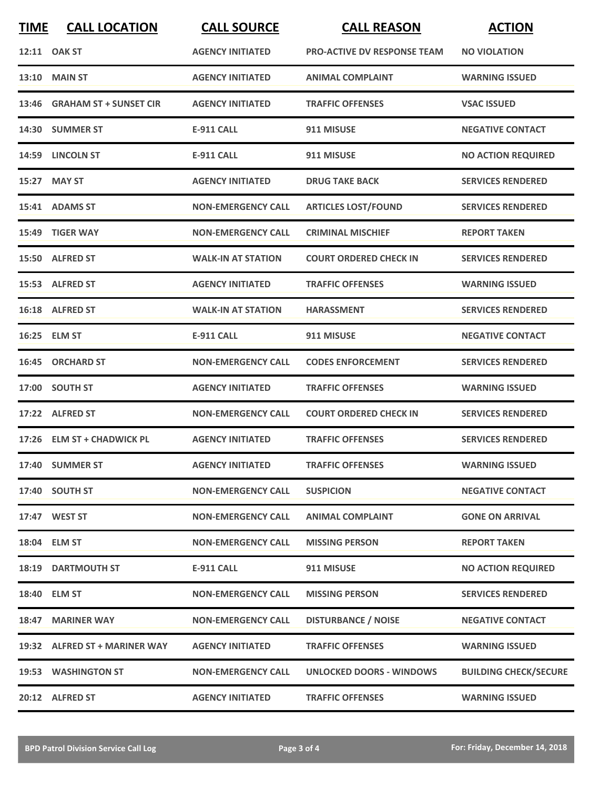| <b>TIME</b> | <b>CALL LOCATION</b>          | <b>CALL SOURCE</b>        | <b>CALL REASON</b>                 | <b>ACTION</b>                |
|-------------|-------------------------------|---------------------------|------------------------------------|------------------------------|
|             | 12:11 OAK ST                  | <b>AGENCY INITIATED</b>   | <b>PRO-ACTIVE DV RESPONSE TEAM</b> | <b>NO VIOLATION</b>          |
|             | <b>13:10 MAIN ST</b>          | <b>AGENCY INITIATED</b>   | <b>ANIMAL COMPLAINT</b>            | <b>WARNING ISSUED</b>        |
|             | 13:46 GRAHAM ST + SUNSET CIR  | <b>AGENCY INITIATED</b>   | <b>TRAFFIC OFFENSES</b>            | <b>VSAC ISSUED</b>           |
|             | 14:30 SUMMER ST               | <b>E-911 CALL</b>         | 911 MISUSE                         | <b>NEGATIVE CONTACT</b>      |
|             | 14:59 LINCOLN ST              | <b>E-911 CALL</b>         | 911 MISUSE                         | <b>NO ACTION REQUIRED</b>    |
|             | 15:27 MAY ST                  | <b>AGENCY INITIATED</b>   | <b>DRUG TAKE BACK</b>              | <b>SERVICES RENDERED</b>     |
|             | 15:41 ADAMS ST                | <b>NON-EMERGENCY CALL</b> | <b>ARTICLES LOST/FOUND</b>         | <b>SERVICES RENDERED</b>     |
| 15:49       | <b>TIGER WAY</b>              | <b>NON-EMERGENCY CALL</b> | <b>CRIMINAL MISCHIEF</b>           | <b>REPORT TAKEN</b>          |
|             | 15:50 ALFRED ST               | <b>WALK-IN AT STATION</b> | <b>COURT ORDERED CHECK IN</b>      | <b>SERVICES RENDERED</b>     |
|             | 15:53 ALFRED ST               | <b>AGENCY INITIATED</b>   | <b>TRAFFIC OFFENSES</b>            | <b>WARNING ISSUED</b>        |
|             | 16:18 ALFRED ST               | <b>WALK-IN AT STATION</b> | <b>HARASSMENT</b>                  | <b>SERVICES RENDERED</b>     |
|             | 16:25 ELM ST                  | <b>E-911 CALL</b>         | 911 MISUSE                         | <b>NEGATIVE CONTACT</b>      |
|             | 16:45 ORCHARD ST              | <b>NON-EMERGENCY CALL</b> | <b>CODES ENFORCEMENT</b>           | <b>SERVICES RENDERED</b>     |
|             | 17:00 SOUTH ST                | <b>AGENCY INITIATED</b>   | <b>TRAFFIC OFFENSES</b>            | <b>WARNING ISSUED</b>        |
| 17:22       | <b>ALFRED ST</b>              | <b>NON-EMERGENCY CALL</b> | <b>COURT ORDERED CHECK IN</b>      | <b>SERVICES RENDERED</b>     |
|             | 17:26 ELM ST + CHADWICK PL    | <b>AGENCY INITIATED</b>   | <b>TRAFFIC OFFENSES</b>            | <b>SERVICES RENDERED</b>     |
|             | 17:40 SUMMER ST               | <b>AGENCY INITIATED</b>   | <b>TRAFFIC OFFENSES</b>            | <b>WARNING ISSUED</b>        |
|             | 17:40 SOUTH ST                | <b>NON-EMERGENCY CALL</b> | <b>SUSPICION</b>                   | <b>NEGATIVE CONTACT</b>      |
|             | 17:47 WEST ST                 | <b>NON-EMERGENCY CALL</b> | <b>ANIMAL COMPLAINT</b>            | <b>GONE ON ARRIVAL</b>       |
|             | 18:04 ELM ST                  | <b>NON-EMERGENCY CALL</b> | <b>MISSING PERSON</b>              | <b>REPORT TAKEN</b>          |
|             | <b>18:19 DARTMOUTH ST</b>     | <b>E-911 CALL</b>         | 911 MISUSE                         | <b>NO ACTION REQUIRED</b>    |
|             | 18:40 ELM ST                  | <b>NON-EMERGENCY CALL</b> | <b>MISSING PERSON</b>              | <b>SERVICES RENDERED</b>     |
|             | 18:47 MARINER WAY             | <b>NON-EMERGENCY CALL</b> | <b>DISTURBANCE / NOISE</b>         | <b>NEGATIVE CONTACT</b>      |
|             | 19:32 ALFRED ST + MARINER WAY | <b>AGENCY INITIATED</b>   | <b>TRAFFIC OFFENSES</b>            | <b>WARNING ISSUED</b>        |
|             | 19:53 WASHINGTON ST           | <b>NON-EMERGENCY CALL</b> | UNLOCKED DOORS - WINDOWS           | <b>BUILDING CHECK/SECURE</b> |
|             | 20:12 ALFRED ST               | <b>AGENCY INITIATED</b>   | <b>TRAFFIC OFFENSES</b>            | <b>WARNING ISSUED</b>        |